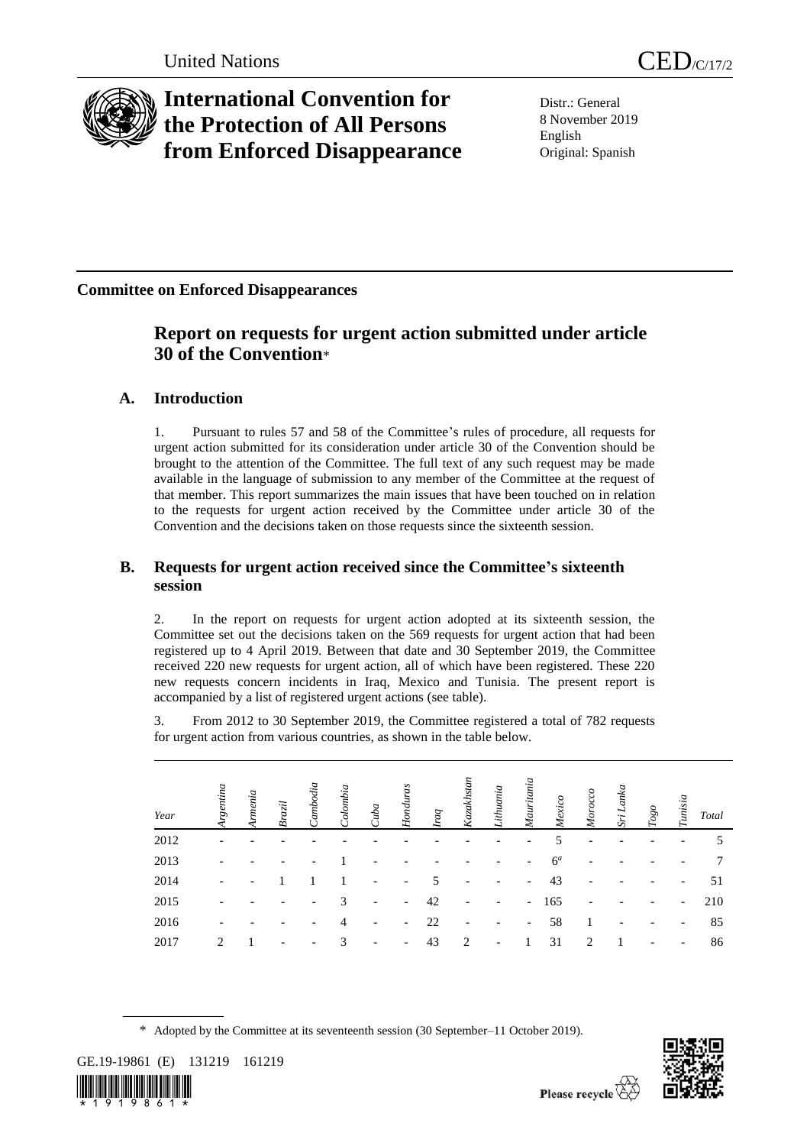

# **International Convention for the Protection of All Persons from Enforced Disappearance**

Distr.: General 8 November 2019 English Original: Spanish

**Committee on Enforced Disappearances**

# **Report on requests for urgent action submitted under article 30 of the Convention**\*

# **A. Introduction**

1. Pursuant to rules 57 and 58 of the Committee's rules of procedure, all requests for urgent action submitted for its consideration under article 30 of the Convention should be brought to the attention of the Committee. The full text of any such request may be made available in the language of submission to any member of the Committee at the request of that member. This report summarizes the main issues that have been touched on in relation to the requests for urgent action received by the Committee under article 30 of the Convention and the decisions taken on those requests since the sixteenth session.

# **B. Requests for urgent action received since the Committee's sixteenth session**

2. In the report on requests for urgent action adopted at its sixteenth session, the Committee set out the decisions taken on the 569 requests for urgent action that had been registered up to 4 April 2019. Between that date and 30 September 2019, the Committee received 220 new requests for urgent action, all of which have been registered. These 220 new requests concern incidents in Iraq, Mexico and Tunisia. The present report is accompanied by a list of registered urgent actions (see table).

3. From 2012 to 30 September 2019, the Committee registered a total of 782 requests for urgent action from various countries, as shown in the table below.

| Year | rgentina       | rnenia | Brazil | odia | bombia.        | Juba | Honduras                     | raq | Kazakhstan     | ithuania | Mauritania               | Mexico         | Morocco | Lanka<br>Šï | $Togo$ | Tunisia                  | Total |
|------|----------------|--------|--------|------|----------------|------|------------------------------|-----|----------------|----------|--------------------------|----------------|---------|-------------|--------|--------------------------|-------|
| 2012 |                |        |        |      |                |      |                              |     |                |          |                          | 5              |         |             |        |                          | 5     |
| 2013 |                |        |        |      |                |      |                              |     |                |          | $\overline{\phantom{a}}$ | 6 <sup>a</sup> |         |             |        |                          | 7     |
| 2014 |                |        |        |      |                |      |                              | 5   |                |          | $\overline{\phantom{a}}$ | 43             |         |             |        | $\overline{\phantom{a}}$ | 51    |
| 2015 |                |        |        |      | 3              | ۰    | $\overline{\phantom{a}}$     | 42  |                |          | $\overline{\phantom{a}}$ | 165            |         |             |        | $\overline{\phantom{a}}$ | 210   |
| 2016 |                |        |        |      | $\overline{4}$ |      | $\qquad \qquad \blacksquare$ | 22  |                |          | $\overline{\phantom{a}}$ | 58             |         |             |        | $\overline{\phantom{a}}$ | 85    |
| 2017 | $\mathfrak{D}$ |        |        |      | 3              | ٠    | $\overline{\phantom{a}}$     | 43  | $\overline{2}$ | ۰        |                          | 31             | 2       |             | ۰      | $\overline{\phantom{a}}$ | 86    |

\* Adopted by the Committee at its seventeenth session (30 September–11 October 2019).



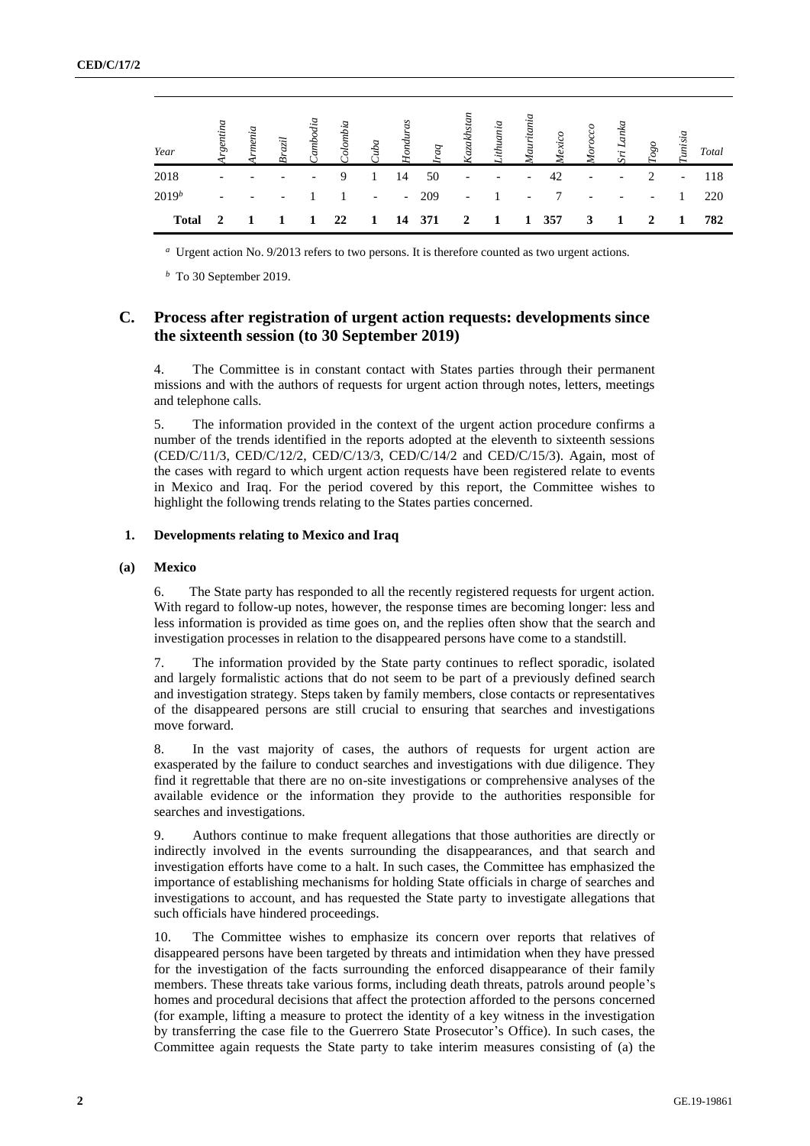| Year         | $\tilde{z}$              | lizn.                    | aml                      |    | Colombia<br>Cuba<br>Honduras                         |      | $b\overline{v}$ | khstar<br>$\zeta$ aza    | Lithuania<br>Lithuania   | Mauritan<br>Mauritan     | Mexico | Moreover                 |                          | $Togo$                   | unisia                   | Total |
|--------------|--------------------------|--------------------------|--------------------------|----|------------------------------------------------------|------|-----------------|--------------------------|--------------------------|--------------------------|--------|--------------------------|--------------------------|--------------------------|--------------------------|-------|
| 2018         |                          |                          | $\overline{\phantom{0}}$ |    |                                                      | 14   | 50              | $\overline{\phantom{a}}$ | $\overline{\phantom{a}}$ | $\overline{\phantom{a}}$ | 42     | $\overline{\phantom{a}}$ | $\overline{\phantom{a}}$ | $\mathcal{D}$            | $\overline{\phantom{a}}$ | 118   |
| $2019^b$     | $\overline{\phantom{0}}$ | $\overline{\phantom{a}}$ |                          |    | $\alpha$ , $\alpha$ , $\alpha$ , $\alpha$ , $\alpha$ |      | $-209$          |                          | $-1$                     | $\overline{\phantom{a}}$ |        | $\overline{\phantom{a}}$ | $\overline{\phantom{a}}$ | $\overline{\phantom{a}}$ |                          | 220   |
| <b>Total</b> | $\mathbf{2}$             |                          |                          | 22 | $\mathbf{1}$                                         | - 14 | 371             | $\overline{\mathbf{2}}$  | $\blacksquare$           | -1                       | 357    | 3                        | 1                        | 2                        | 1                        | 782   |

*<sup>a</sup>* Urgent action No. 9/2013 refers to two persons. It is therefore counted as two urgent actions.

*<sup>b</sup>* To 30 September 2019.

### **C. Process after registration of urgent action requests: developments since the sixteenth session (to 30 September 2019)**

4. The Committee is in constant contact with States parties through their permanent missions and with the authors of requests for urgent action through notes, letters, meetings and telephone calls.

5. The information provided in the context of the urgent action procedure confirms a number of the trends identified in the reports adopted at the eleventh to sixteenth sessions (CED/C/11/3, CED/C/12/2, CED/C/13/3, CED/C/14/2 and CED/C/15/3). Again, most of the cases with regard to which urgent action requests have been registered relate to events in Mexico and Iraq. For the period covered by this report, the Committee wishes to highlight the following trends relating to the States parties concerned.

#### **1. Developments relating to Mexico and Iraq**

#### **(a) Mexico**

6. The State party has responded to all the recently registered requests for urgent action. With regard to follow-up notes, however, the response times are becoming longer: less and less information is provided as time goes on, and the replies often show that the search and investigation processes in relation to the disappeared persons have come to a standstill.

7. The information provided by the State party continues to reflect sporadic, isolated and largely formalistic actions that do not seem to be part of a previously defined search and investigation strategy. Steps taken by family members, close contacts or representatives of the disappeared persons are still crucial to ensuring that searches and investigations move forward.

8. In the vast majority of cases, the authors of requests for urgent action are exasperated by the failure to conduct searches and investigations with due diligence. They find it regrettable that there are no on-site investigations or comprehensive analyses of the available evidence or the information they provide to the authorities responsible for searches and investigations.

9. Authors continue to make frequent allegations that those authorities are directly or indirectly involved in the events surrounding the disappearances, and that search and investigation efforts have come to a halt. In such cases, the Committee has emphasized the importance of establishing mechanisms for holding State officials in charge of searches and investigations to account, and has requested the State party to investigate allegations that such officials have hindered proceedings.

10. The Committee wishes to emphasize its concern over reports that relatives of disappeared persons have been targeted by threats and intimidation when they have pressed for the investigation of the facts surrounding the enforced disappearance of their family members. These threats take various forms, including death threats, patrols around people's homes and procedural decisions that affect the protection afforded to the persons concerned (for example, lifting a measure to protect the identity of a key witness in the investigation by transferring the case file to the Guerrero State Prosecutor's Office). In such cases, the Committee again requests the State party to take interim measures consisting of (a) the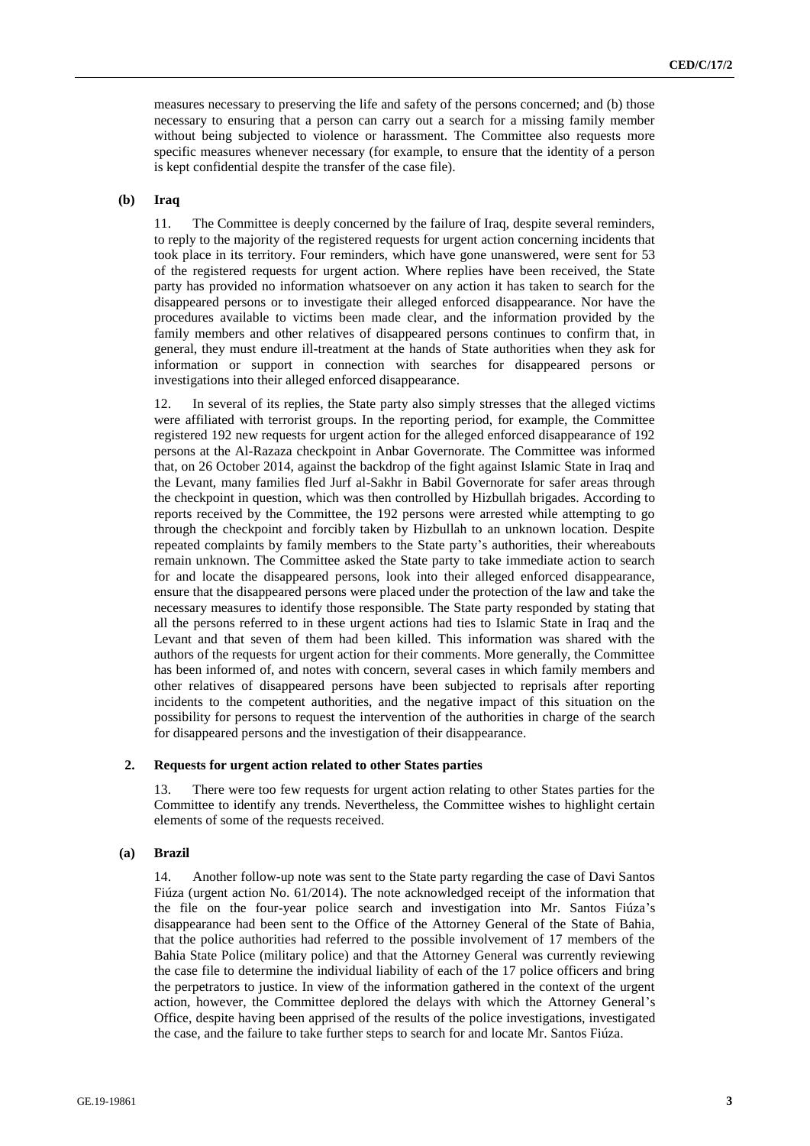measures necessary to preserving the life and safety of the persons concerned; and (b) those necessary to ensuring that a person can carry out a search for a missing family member without being subjected to violence or harassment. The Committee also requests more specific measures whenever necessary (for example, to ensure that the identity of a person is kept confidential despite the transfer of the case file).

#### **(b) Iraq**

11. The Committee is deeply concerned by the failure of Iraq, despite several reminders, to reply to the majority of the registered requests for urgent action concerning incidents that took place in its territory. Four reminders, which have gone unanswered, were sent for 53 of the registered requests for urgent action. Where replies have been received, the State party has provided no information whatsoever on any action it has taken to search for the disappeared persons or to investigate their alleged enforced disappearance. Nor have the procedures available to victims been made clear, and the information provided by the family members and other relatives of disappeared persons continues to confirm that, in general, they must endure ill-treatment at the hands of State authorities when they ask for information or support in connection with searches for disappeared persons or investigations into their alleged enforced disappearance.

12. In several of its replies, the State party also simply stresses that the alleged victims were affiliated with terrorist groups. In the reporting period, for example, the Committee registered 192 new requests for urgent action for the alleged enforced disappearance of 192 persons at the Al-Razaza checkpoint in Anbar Governorate. The Committee was informed that, on 26 October 2014, against the backdrop of the fight against Islamic State in Iraq and the Levant, many families fled Jurf al-Sakhr in Babil Governorate for safer areas through the checkpoint in question, which was then controlled by Hizbullah brigades. According to reports received by the Committee, the 192 persons were arrested while attempting to go through the checkpoint and forcibly taken by Hizbullah to an unknown location. Despite repeated complaints by family members to the State party's authorities, their whereabouts remain unknown. The Committee asked the State party to take immediate action to search for and locate the disappeared persons, look into their alleged enforced disappearance, ensure that the disappeared persons were placed under the protection of the law and take the necessary measures to identify those responsible. The State party responded by stating that all the persons referred to in these urgent actions had ties to Islamic State in Iraq and the Levant and that seven of them had been killed. This information was shared with the authors of the requests for urgent action for their comments. More generally, the Committee has been informed of, and notes with concern, several cases in which family members and other relatives of disappeared persons have been subjected to reprisals after reporting incidents to the competent authorities, and the negative impact of this situation on the possibility for persons to request the intervention of the authorities in charge of the search for disappeared persons and the investigation of their disappearance.

#### **2. Requests for urgent action related to other States parties**

13. There were too few requests for urgent action relating to other States parties for the Committee to identify any trends. Nevertheless, the Committee wishes to highlight certain elements of some of the requests received.

#### **(a) Brazil**

14. Another follow-up note was sent to the State party regarding the case of Davi Santos Fiúza (urgent action No. 61/2014). The note acknowledged receipt of the information that the file on the four-year police search and investigation into Mr. Santos Fiúza's disappearance had been sent to the Office of the Attorney General of the State of Bahia, that the police authorities had referred to the possible involvement of 17 members of the Bahia State Police (military police) and that the Attorney General was currently reviewing the case file to determine the individual liability of each of the 17 police officers and bring the perpetrators to justice. In view of the information gathered in the context of the urgent action, however, the Committee deplored the delays with which the Attorney General's Office, despite having been apprised of the results of the police investigations, investigated the case, and the failure to take further steps to search for and locate Mr. Santos Fiúza.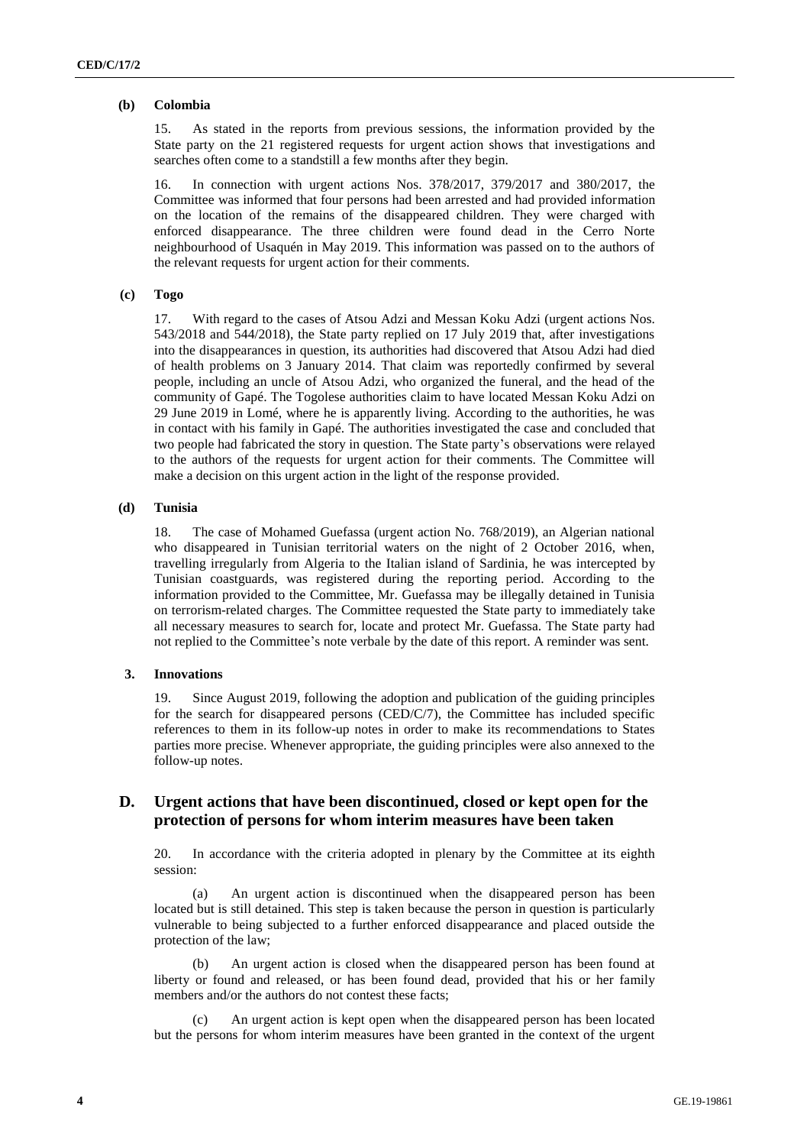#### **(b) Colombia**

15. As stated in the reports from previous sessions, the information provided by the State party on the 21 registered requests for urgent action shows that investigations and searches often come to a standstill a few months after they begin.

16. In connection with urgent actions Nos. 378/2017, 379/2017 and 380/2017, the Committee was informed that four persons had been arrested and had provided information on the location of the remains of the disappeared children. They were charged with enforced disappearance. The three children were found dead in the Cerro Norte neighbourhood of Usaquén in May 2019. This information was passed on to the authors of the relevant requests for urgent action for their comments.

#### **(c) Togo**

17. With regard to the cases of Atsou Adzi and Messan Koku Adzi (urgent actions Nos. 543/2018 and 544/2018), the State party replied on 17 July 2019 that, after investigations into the disappearances in question, its authorities had discovered that Atsou Adzi had died of health problems on 3 January 2014. That claim was reportedly confirmed by several people, including an uncle of Atsou Adzi, who organized the funeral, and the head of the community of Gapé. The Togolese authorities claim to have located Messan Koku Adzi on 29 June 2019 in Lomé, where he is apparently living. According to the authorities, he was in contact with his family in Gapé. The authorities investigated the case and concluded that two people had fabricated the story in question. The State party's observations were relayed to the authors of the requests for urgent action for their comments. The Committee will make a decision on this urgent action in the light of the response provided.

#### **(d) Tunisia**

18. The case of Mohamed Guefassa (urgent action No. 768/2019), an Algerian national who disappeared in Tunisian territorial waters on the night of 2 October 2016, when, travelling irregularly from Algeria to the Italian island of Sardinia, he was intercepted by Tunisian coastguards, was registered during the reporting period. According to the information provided to the Committee, Mr. Guefassa may be illegally detained in Tunisia on terrorism-related charges. The Committee requested the State party to immediately take all necessary measures to search for, locate and protect Mr. Guefassa. The State party had not replied to the Committee's note verbale by the date of this report. A reminder was sent.

#### **3. Innovations**

19. Since August 2019, following the adoption and publication of the guiding principles for the search for disappeared persons (CED/C/7), the Committee has included specific references to them in its follow-up notes in order to make its recommendations to States parties more precise. Whenever appropriate, the guiding principles were also annexed to the follow-up notes.

## **D. Urgent actions that have been discontinued, closed or kept open for the protection of persons for whom interim measures have been taken**

20. In accordance with the criteria adopted in plenary by the Committee at its eighth session:

(a) An urgent action is discontinued when the disappeared person has been located but is still detained. This step is taken because the person in question is particularly vulnerable to being subjected to a further enforced disappearance and placed outside the protection of the law;

(b) An urgent action is closed when the disappeared person has been found at liberty or found and released, or has been found dead, provided that his or her family members and/or the authors do not contest these facts;

An urgent action is kept open when the disappeared person has been located but the persons for whom interim measures have been granted in the context of the urgent